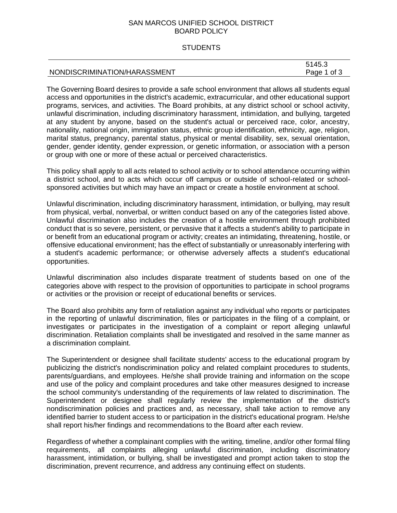# SAN MARCOS UNIFIED SCHOOL DISTRICT BOARD POLICY

## **STUDENTS**

|                              | 7145 R<br>ຯປ.ປ |
|------------------------------|----------------|
| NONDISCRIMINATION/HARASSMENT | of 3<br>Page   |

The Governing Board desires to provide a safe school environment that allows all students equal access and opportunities in the district's academic, extracurricular, and other educational support programs, services, and activities. The Board prohibits, at any district school or school activity, unlawful discrimination, including discriminatory harassment, intimidation, and bullying, targeted at any student by anyone, based on the student's actual or perceived race, color, ancestry, nationality, national origin, immigration status, ethnic group identification, ethnicity, age, religion, marital status, pregnancy, parental status, physical or mental disability, sex, sexual orientation, gender, gender identity, gender expression, or genetic information, or association with a person or group with one or more of these actual or perceived characteristics.

This policy shall apply to all acts related to school activity or to school attendance occurring within a district school, and to acts which occur off campus or outside of school-related or schoolsponsored activities but which may have an impact or create a hostile environment at school.

Unlawful discrimination, including discriminatory harassment, intimidation, or bullying, may result from physical, verbal, nonverbal, or written conduct based on any of the categories listed above. Unlawful discrimination also includes the creation of a hostile environment through prohibited conduct that is so severe, persistent, or pervasive that it affects a student's ability to participate in or benefit from an educational program or activity; creates an intimidating, threatening, hostile, or offensive educational environment; has the effect of substantially or unreasonably interfering with a student's academic performance; or otherwise adversely affects a student's educational opportunities.

Unlawful discrimination also includes disparate treatment of students based on one of the categories above with respect to the provision of opportunities to participate in school programs or activities or the provision or receipt of educational benefits or services.

The Board also prohibits any form of retaliation against any individual who reports or participates in the reporting of unlawful discrimination, files or participates in the filing of a complaint, or investigates or participates in the investigation of a complaint or report alleging unlawful discrimination. Retaliation complaints shall be investigated and resolved in the same manner as a discrimination complaint.

The Superintendent or designee shall facilitate students' access to the educational program by publicizing the district's nondiscrimination policy and related complaint procedures to students, parents/guardians, and employees. He/she shall provide training and information on the scope and use of the policy and complaint procedures and take other measures designed to increase the school community's understanding of the requirements of law related to discrimination. The Superintendent or designee shall regularly review the implementation of the district's nondiscrimination policies and practices and, as necessary, shall take action to remove any identified barrier to student access to or participation in the district's educational program. He/she shall report his/her findings and recommendations to the Board after each review.

Regardless of whether a complainant complies with the writing, timeline, and/or other formal filing requirements, all complaints alleging unlawful discrimination, including discriminatory harassment, intimidation, or bullying, shall be investigated and prompt action taken to stop the discrimination, prevent recurrence, and address any continuing effect on students.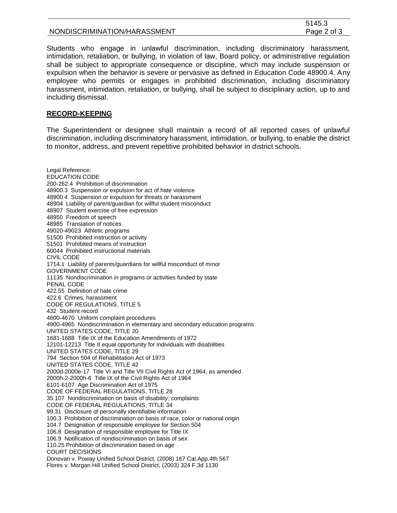|                              | . ن 140. ت  |
|------------------------------|-------------|
| NONDISCRIMINATION/HARASSMENT | Page 2 of 3 |
|                              |             |

**FAAF** 0.

Students who engage in unlawful discrimination, including discriminatory harassment, intimidation, retaliation, or bullying, in violation of law, Board policy, or administrative regulation shall be subject to appropriate consequence or discipline, which may include suspension or expulsion when the behavior is severe or pervasive as defined in Education Code 48900.4. Any employee who permits or engages in prohibited discrimination, including discriminatory harassment, intimidation, retaliation, or bullying, shall be subject to disciplinary action, up to and including dismissal.

### **RECORD-KEEPING**

The Superintendent or designee shall maintain a record of all reported cases of unlawful discrimination, including discriminatory harassment, intimidation, or bullying, to enable the district to monitor, address, and prevent repetitive prohibited behavior in district schools.

Legal Reference: EDUCATION CODE 200-262.4 Prohibition of discrimination 48900.3 Suspension or expulsion for act of hate violence 48900.4 Suspension or expulsion for threats or harassment 48904 Liability of parent/guardian for willful student misconduct 48907 Student exercise of free expression 48950 Freedom of speech 48985 Translation of notices 49020-49023 Athletic programs 51500 Prohibited instruction or activity 51501 Prohibited means of instruction 60044 Prohibited instructional materials CIVIL CODE 1714.1 Liability of parents/guardians for willful misconduct of minor GOVERNMENT CODE 11135 Nondiscrimination in programs or activities funded by state PENAL CODE 422.55 Definition of hate crime 422.6 Crimes, harassment CODE OF REGULATIONS, TITLE 5 432 Student record 4600-4670 Uniform complaint procedures 4900-4965 Nondiscrimination in elementary and secondary education programs UNITED STATES CODE, TITLE 20 1681-1688 Title IX of the Education Amendments of 1972 12101-12213 Title II equal opportunity for individuals with disabilities UNITED STATES CODE, TITLE 29 794 Section 504 of Rehabilitation Act of 1973 UNITED STATES CODE, TITLE 42 2000d-2000e-17 Title VI and Title VII Civil Rights Act of 1964, as amended 2000h-2-2000h-6 Title IX of the Civil Rights Act of 1964 6101-6107 Age Discrimination Act of 1975 CODE OF FEDERAL REGULATIONS, TITLE 28 35.107 Nondiscrimination on basis of disability; complaints CODE OF FEDERAL REGULATIONS, TITLE 34 99.31 Disclosure of personally identifiable information 100.3 Prohibition of discrimination on basis of race, color or national origin 104.7 Designation of responsible employee for Section 504 106.8 Designation of responsible employee for Title IX 106.9 Notification of nondiscrimination on basis of sex 110.25 Prohibition of discrimination based on age COURT DECISIONS Donovan v. Poway Unified School District, (2008) 167 Cal.App.4th 567 Flores v. Morgan Hill Unified School District, (2003) 324 F.3d 1130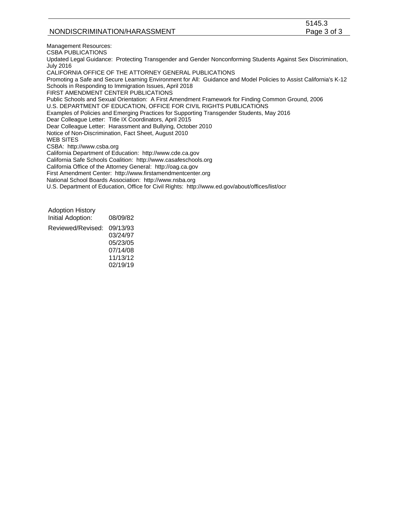|                              | 5145        |
|------------------------------|-------------|
| NONDISCRIMINATION/HARASSMENT | Page 3 of 3 |
|                              |             |

 $5115.3$ 

Management Resources: CSBA PUBLICATIONS Updated Legal Guidance: Protecting Transgender and Gender Nonconforming Students Against Sex Discrimination, July 2016 CALIFORNIA OFFICE OF THE ATTORNEY GENERAL PUBLICATIONS Promoting a Safe and Secure Learning Environment for All: Guidance and Model Policies to Assist California's K-12 Schools in Responding to Immigration Issues, April 2018 FIRST AMENDMENT CENTER PUBLICATIONS Public Schools and Sexual Orientation: A First Amendment Framework for Finding Common Ground, 2006 U.S. DEPARTMENT OF EDUCATION, OFFICE FOR CIVIL RIGHTS PUBLICATIONS Examples of Policies and Emerging Practices for Supporting Transgender Students, May 2016 Dear Colleague Letter: Title IX Coordinators, April 2015 Dear Colleague Letter: Harassment and Bullying, October 2010 Notice of Non-Discrimination, Fact Sheet, August 2010 WEB SITES CSBA: http://www.csba.org California Department of Education: http://www.cde.ca.gov California Safe Schools Coalition: http://www.casafeschools.org California Office of the Attorney General: http://oag.ca.gov First Amendment Center: http://www.firstamendmentcenter.org National School Boards Association: http://www.nsba.org U.S. Department of Education, Office for Civil Rights: http://www.ed.gov/about/offices/list/ocr

Adoption History Initial Adoption: 08/09/82 Reviewed/Revised: 09/13/93 03/24/97 05/23/05 07/14/08 11/13/12 02/19/19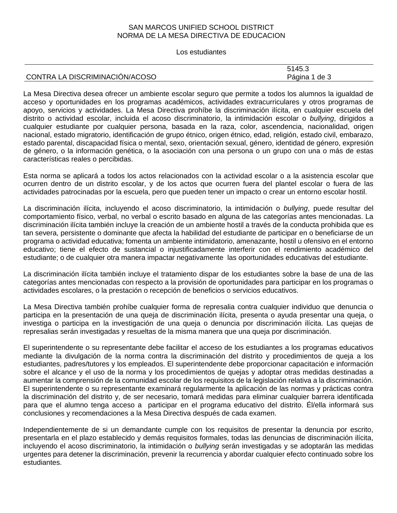# SAN MARCOS UNIFIED SCHOOL DISTRICT NORMA DE LA MESA DIRECTIVA DE EDUCACION

## Los estudiantes

|                                | 5145.3         |
|--------------------------------|----------------|
| CONTRA LA DISCRIMINACIÓN/ACOSO | Página<br>de 3 |

La Mesa Directiva desea ofrecer un ambiente escolar seguro que permite a todos los alumnos la igualdad de acceso y oportunidades en los programas académicos, actividades extracurriculares y otros programas de apoyo, servicios y actividades. La Mesa Directiva prohíbe la discriminación ilícita, en cualquier escuela del distrito o actividad escolar, incluida el acoso discriminatorio, la intimidación escolar o *bullying*, dirigidos a cualquier estudiante por cualquier persona, basada en la raza, color, ascendencia, nacionalidad, origen nacional, estado migratorio, identificación de grupo étnico, origen étnico, edad, religión, estado civil, embarazo, estado parental, discapacidad física o mental, sexo, orientación sexual, género, identidad de género, expresión de género, o la información genética, o la asociación con una persona o un grupo con una o más de estas características reales o percibidas.

Esta norma se aplicará a todos los actos relacionados con la actividad escolar o a la asistencia escolar que ocurren dentro de un distrito escolar, y de los actos que ocurren fuera del plantel escolar o fuera de las actividades patrocinadas por la escuela, pero que pueden tener un impacto o crear un entorno escolar hostil.

La discriminación ilícita, incluyendo el acoso discriminatorio, la intimidación o *bullying*, puede resultar del comportamiento físico, verbal, no verbal o escrito basado en alguna de las categorías antes mencionadas. La discriminación ilícita también incluye la creación de un ambiente hostil a través de la conducta prohibida que es tan severa, persistente o dominante que afecta la habilidad del estudiante de participar en o beneficiarse de un programa o actividad educativa; fomenta un ambiente intimidatorio, amenazante, hostil u ofensivo en el entorno educativo; tiene el efecto de sustancial o injustificadamente interferir con el rendimiento académico del estudiante; o de cualquier otra manera impactar negativamente las oportunidades educativas del estudiante.

La discriminación ilícita también incluye el tratamiento dispar de los estudiantes sobre la base de una de las categorías antes mencionadas con respecto a la provisión de oportunidades para participar en los programas o actividades escolares, o la prestación o recepción de beneficios o servicios educativos.

La Mesa Directiva también prohíbe cualquier forma de represalia contra cualquier individuo que denuncia o participa en la presentación de una queja de discriminación ilícita, presenta o ayuda presentar una queja, o investiga o participa en la investigación de una queja o denuncia por discriminación ilícita. Las quejas de represalias serán investigadas y resueltas de la misma manera que una queja por discriminación.

El superintendente o su representante debe facilitar el acceso de los estudiantes a los programas educativos mediante la divulgación de la norma contra la discriminación del distrito y procedimientos de queja a los estudiantes, padres/tutores y los empleados. El superintendente debe proporcionar capacitación e información sobre el alcance y el uso de la norma y los procedimientos de quejas y adoptar otras medidas destinadas a aumentar la comprensión de la comunidad escolar de los requisitos de la legislación relativa a la discriminación. El superintendente o su representante examinará regularmente la aplicación de las normas y prácticas contra la discriminación del distrito y, de ser necesario, tomará medidas para eliminar cualquier barrera identificada para que el alumno tenga acceso a participar en el programa educativo del distrito. Él/ella informará sus conclusiones y recomendaciones a la Mesa Directiva después de cada examen.

Independientemente de si un demandante cumple con los requisitos de presentar la denuncia por escrito, presentarla en el plazo establecido y demás requisitos formales, todas las denuncias de discriminación ilícita, incluyendo el acoso discriminatorio, la intimidación o *bullying* serán investigadas y se adoptarán las medidas urgentes para detener la discriminación, prevenir la recurrencia y abordar cualquier efecto continuado sobre los estudiantes.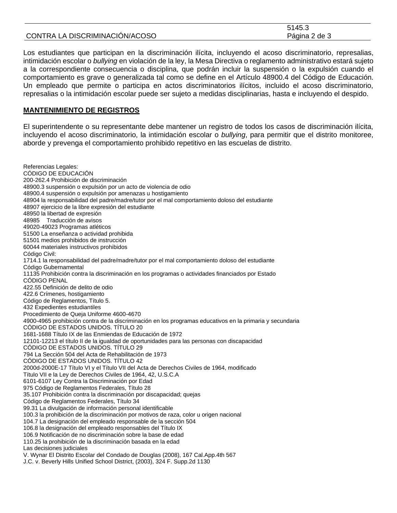|                                | 5145.3        |
|--------------------------------|---------------|
| CONTRA LA DISCRIMINACIÓN/ACOSO | Página 2 de 3 |

Los estudiantes que participan en la discriminación ilícita, incluyendo el acoso discriminatorio, represalias, intimidación escolar o *bullying* en violación de la ley, la Mesa Directiva o reglamento administrativo estará sujeto a la correspondiente consecuencia o disciplina, que podrán incluir la suspensión o la expulsión cuando el comportamiento es grave o generalizada tal como se define en el Artículo 48900.4 del Código de Educación. Un empleado que permite o participa en actos discriminatorios ilícitos, incluido el acoso discriminatorio, represalias o la intimidación escolar puede ser sujeto a medidas disciplinarias, hasta e incluyendo el despido.

### **MANTENIMIENTO DE REGISTROS**

El superintendente o su representante debe mantener un registro de todos los casos de discriminación ilícita, incluyendo el acoso discriminatorio, la intimidación escolar o *bullying*, para permitir que el distrito monitoree, aborde y prevenga el comportamiento prohibido repetitivo en las escuelas de distrito.

Referencias Legales: CÓDIGO DE EDUCACIÓN 200-262.4 Prohibición de discriminación 48900.3 suspensión o expulsión por un acto de violencia de odio 48900.4 suspensión o expulsión por amenazas u hostigamiento 48904 la responsabilidad del padre/madre/tutor por el mal comportamiento doloso del estudiante 48907 ejercicio de la libre expresión del estudiante 48950 la libertad de expresión 48985 Traducción de avisos 49020-49023 Programas atléticos 51500 La enseñanza o actividad prohibida 51501 medios prohibidos de instrucción 60044 materiales instructivos prohibidos Código Civil: 1714.1 la responsabilidad del padre/madre/tutor por el mal comportamiento doloso del estudiante Código Gubernamental 11135 Prohibición contra la discriminación en los programas o actividades financiados por Estado CÓDIGO PENAL 422.55 Definición de delito de odio 422.6 Crímenes, hostigamiento Código de Reglamentos, Título 5. 432 Expedientes estudiantiles Procedimiento de Queja Uniforme 4600-4670 4900-4965 prohibición contra de la discriminación en los programas educativos en la primaria y secundaria CÓDIGO DE ESTADOS UNIDOS. TÍTULO 20 1681-1688 Título IX de las Enmiendas de Educación de 1972 12101-12213 el título II de la igualdad de oportunidades para las personas con discapacidad CÓDIGO DE ESTADOS UNIDOS. TÍTULO 29 794 La Sección 504 del Acta de Rehabilitación de 1973 CÓDIGO DE ESTADOS UNIDOS. TÍTULO 42 2000d-2000E-17 Título VI y el Título VII del Acta de Derechos Civiles de 1964, modificado Título VII e la Ley de Derechos Civiles de 1964, 42, U.S.C.A 6101-6107 Ley Contra la Discriminación por Edad 975 Código de Reglamentos Federales, Título 28 35.107 Prohibición contra la discriminación por discapacidad; quejas Código de Reglamentos Federales, Título 34 99.31 La divulgación de información personal identificable 100.3 la prohibición de la discriminación por motivos de raza, color u origen nacional 104.7 La designación del empleado responsable de la sección 504 106.8 la designación del empleado responsables del Título IX 106.9 Notificación de no discriminación sobre la base de edad 110.25 la prohibición de la discriminación basada en la edad Las decisiones judiciales V. Wynar El Distrito Escolar del Condado de Douglas (2008), 167 Cal.App.4th 567 J.C. v. Beverly Hills Unified School District, (2003), 324 F. Supp.2d 1130